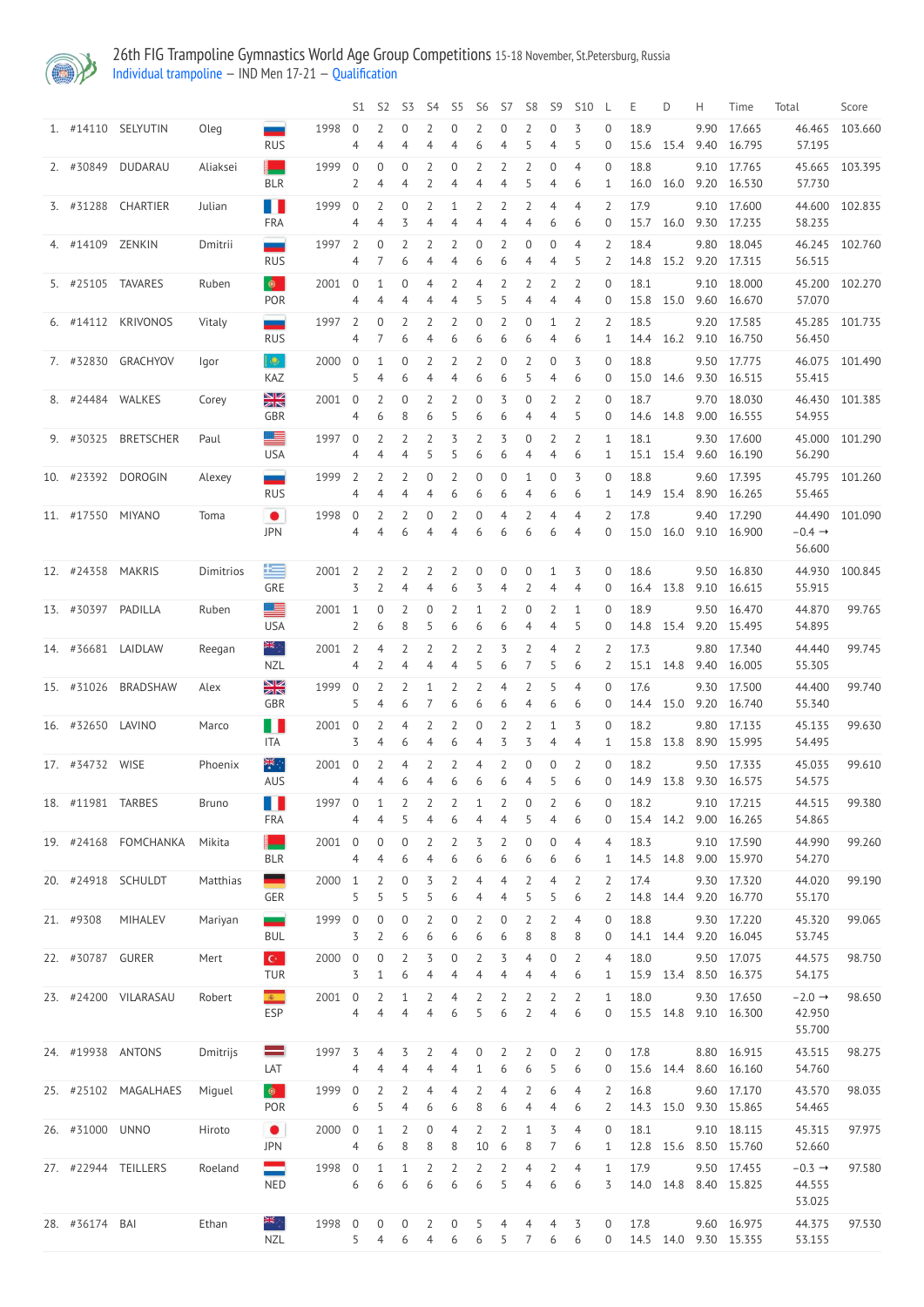

26th FIG Trampoline Gymnastics World Age Group Competitions 15-18 November, St.Petersburg, Russia Individual [trampoline](http://192.168.1.10:9001/event/TRA) — IND Men 17-21 — [Qualification](http://192.168.1.10:9001/stages/25)

|                    |                      |              |                                               |        | S1                  | S <sub>2</sub>                   | S3                  | S4                    | S5                  | S <sub>6</sub>        | S7                               | S8                               | S9                    | S <sub>10</sub>                  |                                  | Ε                 | D         | H    | Time                       | Total                                  | Score          |
|--------------------|----------------------|--------------|-----------------------------------------------|--------|---------------------|----------------------------------|---------------------|-----------------------|---------------------|-----------------------|----------------------------------|----------------------------------|-----------------------|----------------------------------|----------------------------------|-------------------|-----------|------|----------------------------|----------------------------------------|----------------|
|                    | 1. #14110 SELYUTIN   | Oleg         | --<br><b>RUS</b>                              | 1998   | 0<br>4              | 2<br>$\overline{4}$              | $\mathbf 0$         | 2<br>4                | $\overline{0}$<br>4 | $\overline{2}$<br>6   | $\boldsymbol{0}$<br>4            | 2<br>5                           | $\mathbf 0$<br>4      | 3<br>5                           | 0<br>$\overline{0}$              | 18.9<br>15.6      | 15.4      | 9.90 | 17.665<br>9.40 16.795      | 46.465<br>57.195                       | 103.660        |
| 2. #30849          | DUDARAU              | Aliaksei     | <b>BLR</b>                                    | 1999   | $\overline{0}$<br>2 | $\mathbf 0$<br>$\overline{4}$    | $\overline{0}$<br>4 | $\overline{2}$<br>2   | $\overline{0}$<br>4 | 2<br>4                | $\overline{2}$<br>$\overline{4}$ | $\overline{2}$<br>5              | $\boldsymbol{0}$<br>4 | $\overline{4}$<br>6              | $\overline{0}$<br>$\mathbf{1}$   | 18.8<br>16.0      | 16.0      |      | 9.10 17.765<br>9.20 16.530 | 45.665<br>57.730                       | 103.395        |
|                    | 3. #31288 CHARTIER   | Julian       | H<br><b>FRA</b>                               | 1999   | $\overline{0}$<br>4 | $\overline{2}$<br>$\overline{4}$ | $\overline{0}$<br>3 | $\overline{2}$<br>4   | 1<br>4              | $\overline{2}$<br>4   | 2<br>4                           | $\overline{2}$<br>4              | 4<br>6                | 4<br>6                           | $\overline{2}$<br>0              | 17.9<br>15.7      | 16.0      |      | 9.10 17.600<br>9.30 17.235 | 44.600<br>58.235                       | 102.835        |
| 4. #14109 ZENKIN   |                      | Dmitrii      | $\overline{\phantom{a}}$<br><b>RUS</b>        | 1997   | $\overline{2}$<br>4 | 0                                | 2<br>6              | 2<br>4                | 4                   | $\Omega$<br>6         | 2<br>6                           | 0<br>4                           | 0<br>4                | 4<br>5                           | $\overline{2}$<br>2              | 18.4<br>14.8      | 15.2      |      | 9.80 18.045<br>9.20 17.315 | 46.245<br>56.515                       | 102.760        |
|                    | 5. #25105 TAVARES    | Ruben        | $\bullet$<br>POR                              | 2001   | 0<br>4              | 1<br>4                           | $\Omega$<br>4       | 4<br>4                | 2<br>4              | 5                     | 5                                | 2<br>4                           | 2<br>4                | 2<br>4                           | 0<br>$\overline{0}$              | 18.1<br>15.8      | 15.0      |      | 9.10 18.000<br>9.60 16.670 | 45.200<br>57.070                       | 102.270        |
|                    | 6. #14112 KRIVONOS   | Vitaly       | <u>in a</u><br><b>RUS</b>                     | 1997   | 2<br>4              | 0<br>7                           | 2<br>6              | C<br>4                | 6                   | 6                     | 6                                | 0<br>6                           | 4                     | 2<br>6                           | 2<br>1                           | 18.5<br>14.4      | 16.2      |      | 9.20 17.585<br>9.10 16.750 | 56.450                                 | 45.285 101.735 |
|                    | 7. #32830 GRACHYOV   | Igor         | lie.<br>KAZ                                   | 2000   | $\overline{0}$<br>5 | 1<br>$\overline{4}$              | $\Omega$<br>6       | 2<br>4                | 2<br>4              | 6                     | 0<br>6                           | 2<br>5                           | 0<br>4                | 3<br>6                           | $\Omega$<br>0                    | 18.8<br>15.0      | 14.6      |      | 9.50 17.775<br>9.30 16.515 | 46.075<br>55.415                       | 101.490        |
|                    | 8. #24484 WALKES     | Corey        | XK<br>GBR                                     | 2001   | $\overline{0}$<br>4 | 2<br>6                           | $\Omega$<br>8       | 6                     | 5                   | $\Omega$<br>6         | 3<br>6                           | 0<br>4                           | 2<br>4                | 2<br>5                           | $\Omega$<br>0                    | 18.7              | 14.6 14.8 |      | 9.70 18.030<br>9.00 16.555 | 46.430<br>54.955                       | 101.385        |
|                    | 9. #30325 BRETSCHER  | Paul         | 트<br><b>USA</b>                               | 1997   | $\overline{0}$<br>4 | $\overline{2}$<br>4              | $\overline{2}$<br>4 | 2<br>5                | 3<br>5              | $\overline{2}$<br>6   | 3<br>6                           | $\boldsymbol{0}$<br>4            | $\overline{2}$<br>4   | 2<br>6                           | 1<br>1                           | 18.1              | 15.1 15.4 |      | 9.30 17.600<br>9.60 16.190 | 45.000<br>56.290                       | 101.290        |
|                    | 10. #23392 DOROGIN   | Alexey       | ═<br><b>RUS</b>                               | 1999   | $\overline{2}$<br>4 | $\overline{2}$<br>$\overline{4}$ | $\overline{2}$<br>4 | $\overline{0}$<br>4   | 2<br>6              | $\mathbf 0$<br>6      | $\mathbf 0$<br>6                 | $\mathbf 1$<br>4                 | $\overline{0}$<br>6   | 3<br>6                           | $\mathbf 0$<br>1                 | 18.8              | 14.9 15.4 |      | 9.60 17.395<br>8.90 16.265 | 45.795<br>55.465                       | 101.260        |
| 11. #17550 MIYANO  |                      | Toma         | $\bullet$<br><b>JPN</b>                       | 1998   | $\overline{0}$<br>4 | $\overline{2}$<br>4              | $\overline{2}$<br>6 | $\mathbf 0$<br>4      | $\overline{2}$<br>4 | $\boldsymbol{0}$<br>6 | 4<br>6                           | $\overline{2}$<br>6              | $\overline{4}$<br>6   | $\overline{4}$<br>$\overline{4}$ | $\overline{2}$<br>0              | 17.8<br>15.0 16.0 |           | 9.40 | 17.290<br>9.10 16.900      | 44.490<br>$-0.4 \rightarrow$           | 101.090        |
| 12. #24358 MAKRIS  |                      | Dimitrios    | 罕                                             | 2001   | 2                   | 2                                | 2                   | 2                     |                     |                       | 0                                | 0                                |                       | 3                                | $\Omega$                         | 18.6              |           | 9.50 | 16.830                     | 56.600<br>44.930                       | 100.845        |
| 13. #30397 PADILLA |                      | Ruben        | GRE<br>트                                      | 2001   | 3<br>1              | $\overline{2}$<br>0              | 4<br>2              | 4<br>$\mathbf 0$      | 6<br>2              | 3                     | 4<br>2                           | $\mathbf 0$                      | 4<br>2                | 4<br>1                           | $\overline{0}$<br>$\overline{0}$ | 18.9              | 16.4 13.8 |      | 9.10 16.615<br>9.50 16.470 | 55.915<br>44.870                       | 99.765         |
|                    | 14. #36681 LAIDLAW   | Reegan       | <b>USA</b><br><del>≽</del>                    | 2001   | 2<br>$\overline{2}$ | 6<br>$\overline{4}$              | 8<br>$\overline{2}$ | 5<br>$\overline{2}$   | 6<br>$\overline{2}$ | 6<br>$\overline{2}$   | 6<br>3                           | 4<br>$\overline{2}$              | 4<br>$\overline{4}$   | 5<br>$\overline{2}$              | $\overline{0}$<br>2              | 14.8<br>17.3      | 15.4      |      | 9.20 15.495<br>9.80 17.340 | 54.895<br>44.440                       | 99.745         |
|                    | 15. #31026 BRADSHAW  | Alex         | <b>NZL</b><br>$\frac{\mathbf{N}}{\mathbf{N}}$ | 1999   | 4<br>$\overline{0}$ | 2<br>$\overline{2}$              | 4<br>$\overline{2}$ | 4<br>1                | 4<br>2              | 5<br>2                | 6<br>4                           | $\overline{2}$                   | 5<br>5                | 6<br>4                           | $\overline{2}$<br>0              | 17.6              | 15.1 14.8 |      | 9.40 16.005<br>9.30 17.500 | 55.305<br>44.400                       | 99.740         |
| 16. #32650 LAVINO  |                      | Marco        | GBR<br>H H                                    | 2001   | 5<br>$\overline{0}$ | $\overline{4}$<br>$\overline{2}$ | 6<br>4              | 2                     | 6<br>2              | 6<br>$\Omega$         | 6<br>2                           | 4<br>$\mathcal{I}$               | 6<br>1                | 6<br>3                           | 0<br>$\overline{0}$              | 18.2              | 14.4 15.0 |      | 9.20 16.740<br>9.80 17.135 | 55.340<br>45.135                       | 99.630         |
| 17. #34732 WISE    |                      | Phoenix      | ITA<br>्र¥<br>∗                               | 2001   | 3<br>$\overline{0}$ | 4<br>2                           | 6<br>4              | 4<br>2                | 6<br>2              | 4<br>4                | 3<br>2                           | 3<br>0                           | 4<br>0                | 4<br>2                           | 1<br>$\overline{0}$              | 15.8<br>18.2      | 13.8      |      | 8.90 15.995<br>9.50 17.335 | 54.495<br>45.035                       | 99.610         |
| 18. #11981 TARBES  |                      | <b>Bruno</b> | AUS<br>H                                      | 1997   | 4<br>$\overline{0}$ | 4<br>1                           | 6                   | 4<br>2                | 6                   | 6                     | 6                                | 4<br>0                           | 5<br>$\overline{2}$   | 6<br>6                           | $\overline{0}$<br>$\overline{0}$ | 14.9<br>18.2      | 13.8      |      | 9.30 16.575<br>9.10 17.215 | 54.575<br>44.515                       | 99.380         |
|                    | 19. #24168 FOMCHANKA | Mikita       | <b>FRA</b>                                    | 2001   | 4<br>$\overline{0}$ | $\overline{4}$<br>$\mathbf 0$    | $\overline{0}$      | 4<br>2                | 6<br>2              | 4<br>3                | 4<br>$\mathcal{I}$               | 5<br>0                           | 4<br>$\mathbf 0$      | 6<br>4                           | 0<br>4                           | 15.4<br>18.3      | 14.2      |      | 9.00 16.265<br>9.10 17.590 | 54.865<br>44.990                       | 99.260         |
|                    | 20. #24918 SCHULDT   | Matthias     | <b>BLR</b><br>-                               | 2000   | 4<br>1              | 4<br>2                           | 6<br>$\Omega$       | 4<br>3                | 6                   | 6<br>4                | 6<br>$\overline{4}$              | 6<br>$\overline{2}$              | 6<br>4                | 6<br>2                           | 1<br>2                           | 14.5<br>17.4      | 14.8      |      | 9.00 15.970<br>9.30 17.320 | 54.270<br>44.020                       | 99.190         |
| 21. #9308          | <b>MIHALEV</b>       | Mariyan      | GER<br>m.                                     | 1999   | 5<br>$\overline{0}$ | 5<br>$\mathbf 0$                 | 5<br>$\overline{0}$ | 5<br>2                | 6<br>$\theta$       | 4<br>$\overline{2}$   | 4<br>$\mathbf 0$                 | 5<br>$\overline{2}$              | 5<br>$\overline{2}$   | 6<br>4                           | $\overline{2}$<br>$\overline{0}$ | 18.8              | 14.8 14.4 |      | 9.20 16.770<br>9.30 17.220 | 55.170<br>45.320                       | 99.065         |
|                    |                      |              | <b>BUL</b>                                    |        | 3                   | $\overline{2}$                   | 6                   | 6                     | 6                   | 6                     | 6                                | 8                                | 8                     | 8                                | 0                                |                   | 14.1 14.4 |      | 9.20 16.045                | 53.745                                 |                |
| 22. #30787 GURER   |                      | Mert         | $\mathbf{C}^{\perp}$<br><b>TUR</b>            | 2000   | $\overline{0}$<br>3 | $\mathbf 0$<br>$\mathbf{1}$      | $\overline{2}$<br>6 | 3<br>4                | $\overline{0}$<br>4 | $\overline{2}$<br>4   | 3<br>4                           | 4<br>4                           | $\overline{0}$<br>4   | $\overline{2}$<br>6              | $\overline{4}$<br>1              | 18.0              | 15.9 13.4 |      | 9.50 17.075<br>8.50 16.375 | 44.575<br>54.175                       | 98.750         |
|                    | 23. #24200 VILARASAU | Robert       | $\mathcal{R}^{(n)}$<br><b>ESP</b>             | 2001   | $\overline{0}$<br>4 | $\overline{2}$<br>4              | $\mathbf{1}$<br>4   | $\overline{2}$<br>4   | 4<br>6              | $\overline{2}$<br>5   | $\overline{2}$<br>6              | $\overline{2}$<br>$\overline{2}$ | $\overline{2}$<br>4   | $\overline{2}$<br>6              | $\mathbf{1}$<br>$\overline{0}$   | 18.0              | 15.5 14.8 |      | 9.30 17.650<br>9.10 16.300 | $-2.0 \rightarrow$<br>42.950<br>55.700 | 98.650         |
|                    | 24. #19938 ANTONS    | Dmitrijs     | LAT                                           | 1997   | 3<br>4              | $\overline{4}$                   | 3                   | 2                     | 4                   | 0                     | 6                                | 6                                | 0<br>5                | 2<br>6                           | $\mathbf 0$<br>$\overline{0}$    | 17.8              | 15.6 14.4 | 8.80 | 16.915<br>8.60 16.160      | 43.515<br>54.760                       | 98.275         |
|                    | 25. #25102 MAGALHAES | Miguel       | $\circledcirc$<br>POR                         | 1999 0 | 6                   | $\overline{2}$<br>5              | $\overline{2}$<br>4 | 4<br>6                | 4<br>6              | $\overline{2}$<br>8   | 4<br>6                           | $\overline{2}$<br>4              | 6<br>4                | 4<br>6                           | $\mathbf{2}$<br>2                | 16.8              | 14.3 15.0 |      | 9.60 17.170<br>9.30 15.865 | 43.570<br>54.465                       | 98.035         |
| 26. #31000 UNNO    |                      | Hiroto       | $\bullet$<br><b>JPN</b>                       | 2000   | $\overline{0}$<br>4 | 1<br>6                           | $\overline{2}$<br>8 | $\boldsymbol{0}$<br>8 | 4<br>8              | $\overline{2}$<br>10  | $\overline{2}$<br>6              | $\mathbf{1}$<br>8                | 3                     | 4<br>6                           | $\overline{0}$<br>$\mathbf{1}$   | 18.1              | 12.8 15.6 |      | 9.10 18.115<br>8.50 15.760 | 45.315<br>52.660                       | 97.975         |
|                    | 27. #22944 TEILLERS  | Roeland      | ═<br><b>NED</b>                               | 1998   | $\overline{0}$<br>6 | $\mathbf{1}$<br>6                | 1<br>6              | 2<br>6                | $\overline{2}$<br>6 | 2<br>6                | $\overline{2}$<br>5              | 4<br>4                           | $\overline{2}$<br>6   | 4<br>6                           | $\mathbf{1}$<br>3                | 17.9              | 14.0 14.8 |      | 9.50 17.455<br>8.40 15.825 | $-0.3 \rightarrow$<br>44.555<br>53.025 | 97.580         |
| 28. #36174 BAI     |                      | Ethan        | ¥.<br>≫<br><b>NZL</b>                         | 1998   | $\overline{0}$      | 0                                | $\overline{0}$      | 2                     | $\overline{0}$      |                       | 4                                | 4                                | 4                     | 3                                | $\overline{0}$                   | 17.8              | 14.5 14.0 |      | 9.60 16.975<br>9.30 15.355 | 44.375<br>53.155                       | 97.530         |
|                    |                      |              |                                               |        | 5                   | 4                                | 6                   | 4                     | 6                   | 6                     | $\overline{5}$                   | $\overline{1}$                   | 6                     | 6                                | $\overline{0}$                   |                   |           |      |                            |                                        |                |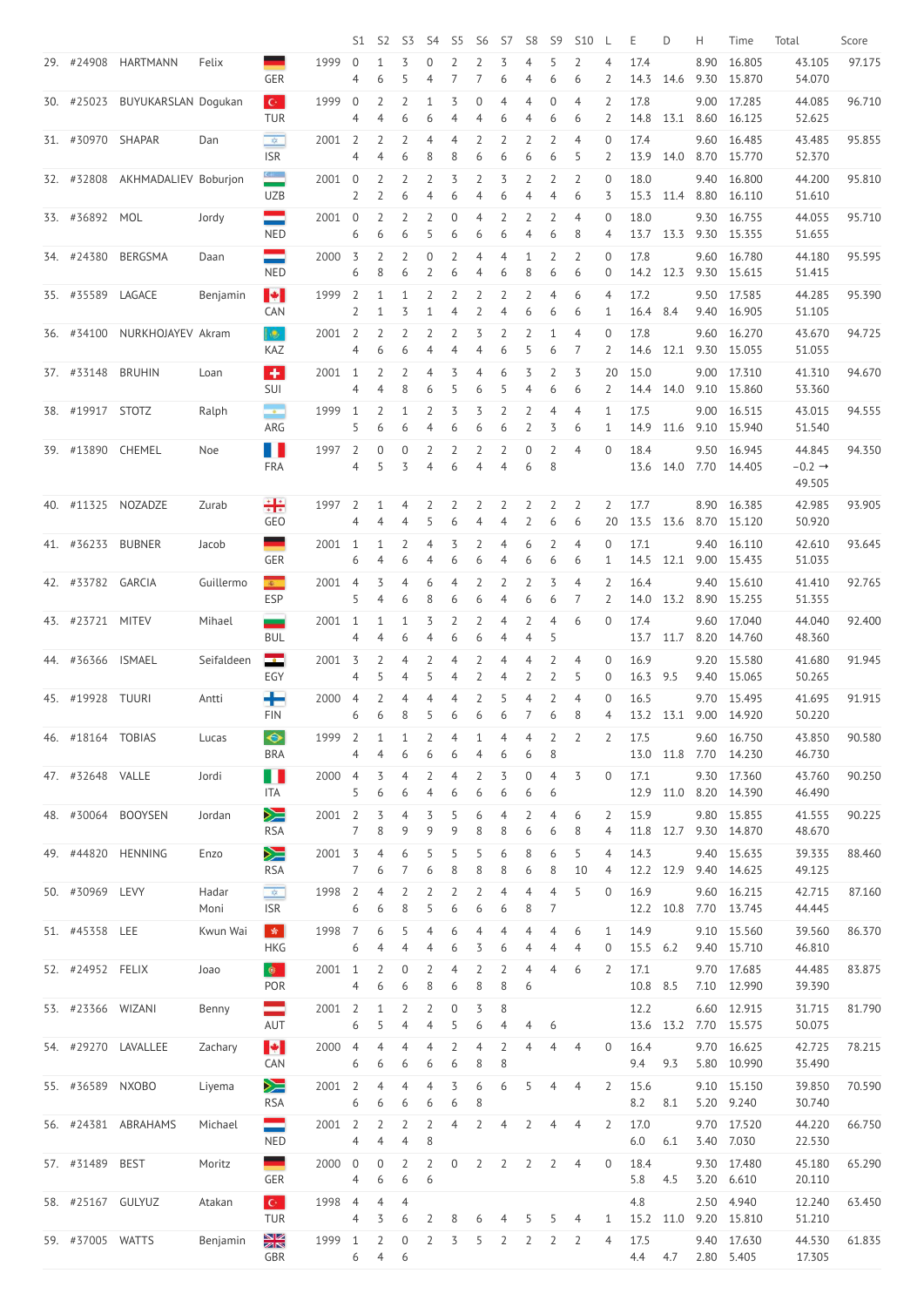|     |                   |                                 |               |                                                      |      | S1                                 | S <sub>2</sub>               | S3                  | S <sub>4</sub>        | S <sub>5</sub>                   | S <sub>6</sub>      | S7                  | S <sub>8</sub>                   | S <sub>9</sub>      | <b>S10</b>          |                                    | E            | D    | Н            | Time                                 | Total                                  | Score  |
|-----|-------------------|---------------------------------|---------------|------------------------------------------------------|------|------------------------------------|------------------------------|---------------------|-----------------------|----------------------------------|---------------------|---------------------|----------------------------------|---------------------|---------------------|------------------------------------|--------------|------|--------------|--------------------------------------|----------------------------------------|--------|
|     | 29. #24908        | <b>HARTMANN</b>                 | Felix         | <b>GER</b>                                           | 1999 | $\overline{0}$<br>4                | 1<br>6                       | 3<br>5              | $\boldsymbol{0}$<br>4 | $\overline{2}$<br>7              | $\overline{2}$      | 3<br>6              | $\overline{4}$<br>$\overline{4}$ | 5<br>6              | $\overline{2}$<br>6 | $\overline{4}$<br>$\overline{2}$   | 17.4<br>14.3 | 14.6 | 8.90         | 16.805<br>9.30 15.870                | 43.105<br>54.070                       | 97.175 |
|     | 30. #25023        | BUYUKARSLAN Dogukan             |               | $\mathbf{C}^{\perp}$<br><b>TUR</b>                   | 1999 | $\boldsymbol{0}$<br>4              | $\overline{2}$<br>4          | 2<br>6              | 6                     | 3<br>4                           | 0<br>4              | 4<br>6              | $\overline{4}$<br>$\overline{4}$ | $\overline{0}$<br>6 | 4<br>6              | $\overline{2}$<br>2                | 17.8<br>14.8 | 13.1 | 9.00         | 17.285<br>8.60 16.125                | 44.085<br>52.625                       | 96.710 |
|     | 31. #30970 SHAPAR |                                 | Dan           | $\frac{1}{2}$<br><b>ISR</b>                          | 2001 | $\overline{2}$<br>4                | $\overline{2}$<br>4          | $\overline{2}$<br>6 | 4<br>8                | 4<br>8                           | 2<br>6              | 2<br>6              | $\overline{2}$<br>6              | $\overline{2}$<br>6 | $\overline{4}$<br>5 | $\overline{0}$<br>$\overline{2}$   | 17.4<br>13.9 | 14.0 | 9.60<br>8.70 | 16.485<br>15.770                     | 43.485<br>52.370                       | 95.855 |
|     |                   | 32. #32808 AKHMADALIEV Boburjon |               | $rac{1}{\sqrt{2}}$<br><b>UZB</b>                     | 2001 | $\boldsymbol{0}$<br>$\overline{2}$ | 2<br>$\overline{2}$          | 2<br>6              | $\overline{2}$<br>4   | 3<br>6                           | 2<br>4              | 3<br>6              | $\overline{2}$<br>4              | $\overline{2}$<br>4 | $\overline{2}$<br>6 | $\boldsymbol{0}$<br>3              | 18.0<br>15.3 | 11.4 | 9.40<br>8.80 | 16.800<br>16.110                     | 44.200<br>51.610                       | 95.810 |
|     | 33. #36892        | MOL                             | Jordy         | ═<br><b>NED</b>                                      | 2001 | $\overline{0}$<br>6                | 2<br>6                       | $\overline{2}$<br>6 | 2<br>5                | $\mathbf 0$<br>6                 | 4<br>6              | 2<br>6              | $\overline{2}$<br>$\overline{4}$ | $\overline{2}$<br>6 | $\overline{4}$<br>8 | $\overline{0}$<br>4                | 18.0<br>13.7 | 13.3 | 9.30<br>9.30 | 16.755<br>15.355                     | 44.055<br>51.655                       | 95.710 |
|     | 34. #24380        | BERGSMA                         | Daan          | ═<br><b>NED</b>                                      | 2000 | 3<br>6                             | 2<br>8                       | $\overline{2}$<br>6 | $\boldsymbol{0}$<br>2 | $\overline{2}$<br>6              | $\overline{4}$<br>4 | $\overline{4}$<br>6 | $\mathbf{1}$<br>8                | $\overline{2}$<br>6 | $\overline{2}$<br>6 | $\overline{0}$<br>$\overline{0}$   | 17.8<br>14.2 | 12.3 | 9.60         | 16.780<br>9.30 15.615                | 44.180<br>51.415                       | 95.595 |
|     | 35. #35589        | LAGACE                          | Benjamin      | $\blacktriangleright$<br><b>CAN</b>                  | 1999 | $\overline{2}$<br>$\overline{2}$   | $\mathbf{1}$<br>$\mathbf{1}$ | $\mathbf{1}$<br>3   | $\overline{2}$<br>1   | $\overline{2}$<br>4              | $\overline{2}$<br>2 | $\overline{2}$<br>4 | $\overline{2}$<br>6              | $\overline{4}$<br>6 | 6<br>6              | $\overline{4}$<br>$\mathbf{1}$     | 17.2<br>16.4 | 8.4  | 9.50<br>9.40 | 17.585<br>16.905                     | 44.285<br>51.105                       | 95.390 |
|     | 36. #34100        | NURKHOJAYEV Akram               |               | lie.<br>KAZ                                          | 2001 | $\overline{2}$<br>4                | 2<br>6                       | $\overline{2}$<br>6 | 2<br>4                | $\overline{2}$<br>$\overline{4}$ | 3<br>4              | $\overline{2}$<br>6 | $\overline{2}$<br>5              | 1<br>6              | 4<br>7              | $\boldsymbol{0}$<br>$\overline{2}$ | 17.8<br>14.6 | 12.1 | 9.60         | 16.270<br>9.30 15.055                | 43.670<br>51.055                       | 94.725 |
|     | 37. #33148        | <b>BRUHIN</b>                   | Loan          | $\left  \cdot \right $<br>SUI                        | 2001 | $\mathbf{1}$<br>4                  | $\overline{2}$<br>4          | $\overline{2}$<br>8 | 4<br>6                | 3<br>5                           | 4<br>6              | 6<br>5              | 3<br>$\overline{4}$              | $\overline{2}$<br>6 | 3<br>6              | 20<br>$\overline{2}$               | 15.0<br>14.4 | 14.0 | 9.00         | 17.310<br>9.10 15.860                | 41.310<br>53.360                       | 94.670 |
|     | 38. #19917 STOTZ  |                                 | Ralph         | $\overline{\mathcal{L}}$<br>ARG                      | 1999 | 1<br>5                             | $\overline{2}$<br>6          | $\mathbf{1}$<br>6   | $\overline{2}$<br>4   | 3<br>6                           | 3<br>6              | 2<br>6              | $\overline{2}$<br>$\overline{2}$ | 4<br>3              | $\overline{4}$<br>6 | 1<br>1                             | 17.5<br>14.9 | 11.6 |              | 9.00 16.515<br>9.10 15.940           | 43.015<br>51.540                       | 94.555 |
|     | 39. #13890        | CHEMEL                          | Noe           | H<br>FRA                                             | 1997 | $\overline{2}$<br>4                | 0<br>5                       | $\overline{0}$<br>3 | $\overline{2}$<br>4   | $\overline{2}$<br>6              | $\overline{2}$<br>4 | $\overline{2}$<br>4 | 0<br>6                           | $\overline{2}$<br>8 | $\overline{4}$      | $\overline{0}$                     | 18.4<br>13.6 | 14.0 | 7.70         | 9.50 16.945<br>14.405                | 44.845<br>$-0.2 \rightarrow$<br>49.505 | 94.350 |
| 40. | #11325            | NOZADZE                         | Zurab         | 축출<br>GEO                                            | 1997 | 2<br>4                             | 1<br>4                       | 4<br>4              | $\overline{2}$<br>- 5 | $\overline{2}$<br>6              | $\overline{2}$<br>4 | $\overline{2}$      | $\overline{2}$<br>4 2 6          | $\overline{2}$      | 2<br>6              | $\overline{2}$                     | 17.7         |      | 8.90         | 16.385<br>20 13.5 13.6 8.70 15.120   | 42.985<br>50.920                       | 93.905 |
|     | 41. #36233        | <b>BUBNER</b>                   | Jacob         | <b>GER</b>                                           | 2001 | 1<br>6                             | 1<br>4                       | 2<br>6              | 4<br>4                | 3<br>6                           | 2<br>6              | 4<br>4              | 6<br>6                           | 2<br>6              | 4<br>6              | $\overline{0}$<br>1                | 17.1<br>14.5 | 12.1 | 9.40         | 16.110<br>9.00 15.435                | 42.610<br>51.035                       | 93.645 |
|     | 42. #33782 GARCIA |                                 | Guillermo     | $\mathcal{R}_{\mathrm{max}}$<br><b>ESP</b>           | 2001 | 4<br>5                             | 3<br>4                       | 4<br>6              | 6<br>8                | 4<br>6                           | 6                   | 2<br>4              | $\overline{2}$<br>6              | 3<br>6              | 4                   | $\overline{2}$<br>2                | 16.4<br>14.0 | 13.2 |              | 9.40 15.610<br>8.90 15.255           | 41.410<br>51.355                       | 92.765 |
|     | 43. #23721 MITEV  |                                 | Mihael        | للمستد<br><b>BUL</b>                                 | 2001 | $\mathbf{1}$<br>4                  | 1<br>4                       | $\mathbf{1}$<br>6   | 3<br>4                | $\overline{2}$<br>6              | 6                   | 4<br>4              | $\overline{2}$<br>4              | 4<br>5              | 6                   | $\overline{0}$                     | 17.4<br>13.7 | 11.7 | 9.60         | 17.040<br>8.20 14.760                | 44.040<br>48.360                       | 92.400 |
|     | 44. #36366        | <b>ISMAEL</b>                   | Seifaldeen    | <mark>صت</mark><br>EGY                               | 2001 | 3<br>4                             | 2<br>5                       | 4<br>4              | 2<br>5                | 4<br>4                           | 2                   | 4<br>4              | 4<br>$\overline{2}$              | 2<br>2              | 4<br>5              | $\overline{0}$<br>0                | 16.9<br>16.3 | 9.5  |              | 9.20 15.580<br>9.40 15.065           | 41.680<br>50.265                       | 91.945 |
|     | 45. #19928 TUURI  |                                 | Antti         | ╇<br><b>FIN</b>                                      | 2000 | 4<br>6                             | 2<br>6                       | 4<br>8              | 4<br>5                | 4<br>6                           | 6                   | 5<br>6              | 4<br>7                           | 2<br>6              | 4<br>8              | 0<br>4                             | 16.5<br>13.2 | 13.1 | 9.70<br>9.00 | 15.495<br>14.920                     | 41.695<br>50.220                       | 91.915 |
|     | 46. #18164 TOBIAS |                                 | Lucas         | $\qquad \qquad \Leftrightarrow$<br><b>BRA</b>        | 1999 | $\overline{2}$<br>4                | 4                            | 1<br>6              | 2<br>6                | 4<br>6                           | 4                   | 4<br>6              | $\overline{4}$<br>6              | $\overline{2}$<br>8 | $\overline{2}$      | $\overline{2}$                     | 17.5<br>13.0 | 11.8 | 9.60         | 16.750<br>7.70 14.230                | 43.850<br>46.730                       | 90.580 |
|     | 47. #32648 VALLE  |                                 | Jordi         | H N<br>ITA                                           | 2000 | 4<br>5                             | 3<br>6                       | 4<br>6              | 2<br>4                | 4<br>6                           | 2<br>6              | 3<br>6              | $\boldsymbol{0}$<br>6            | 4<br>6              | 3                   | 0                                  | 17.1<br>12.9 | 11.0 | 9.30         | 17.360<br>8.20 14.390                | 43.760<br>46.490                       | 90.250 |
|     | 48. #30064        | <b>BOOYSEN</b>                  | Jordan        | ▓<br><b>RSA</b>                                      | 2001 | $\overline{2}$<br>7                | 3<br>8                       | 4<br>9              | 3<br>9                | 5<br>9                           | 6<br>8              | 4<br>8              | $\overline{2}$<br>6              | 4<br>6              | 6<br>8              | 2<br>4                             | 15.9<br>11.8 | 12.7 | 9.80         | 15.855<br>9.30 14.870                | 41.555<br>48.670                       | 90.225 |
|     | 49. #44820        | <b>HENNING</b>                  | Enzo          | ▓<br><b>RSA</b>                                      | 2001 | 3<br>7                             | 4<br>6                       | 6                   | 5<br>6                | 5<br>8                           | 8                   | 6<br>8              | 8<br>6                           | 6<br>8              | 5<br>10             | $\overline{4}$<br>4                | 14.3<br>12.2 | 12.9 | 9.40         | 15.635<br>9.40 14.625                | 39.335<br>49.125                       | 88.460 |
|     | 50. #30969 LEVY   |                                 | Hadar<br>Moni | $\mathbf{K}^{\mathbf{N}}_{\mathbf{r}}$<br><b>ISR</b> | 1998 | $\overline{2}$<br>6                | 4<br>6                       | 2<br>8              | 2<br>5                | 2<br>6                           | 6                   | 4<br>6              | 4<br>8                           | 4<br>7              | 5                   | $\overline{0}$                     | 16.9<br>12.2 | 10.8 |              | 9.60 16.215<br>7.70 13.745           | 42.715<br>44.445                       | 87.160 |
|     | 51. #45358 LEE    |                                 | Kwun Wai      | $\frac{1}{2}$<br><b>HKG</b>                          | 1998 | 7<br>6                             | 6<br>4                       | 4                   | 4<br>4                | 6<br>6                           | 3                   | 4<br>6              | 4<br>4                           | 4<br>4              | 6<br>4              | 1<br>0                             | 14.9<br>15.5 | 6.2  | 9.40         | 9.10 15.560<br>15.710                | 39.560<br>46.810                       | 86.370 |
|     | 52. #24952 FELIX  |                                 | Joao          | $\bullet$<br>POR                                     | 2001 | 1<br>4                             | 2<br>6                       | 0<br>6              | 2<br>8                | $\overline{A}$<br>6              | 8                   | 2<br>8              | 4<br>6                           | 4                   | 6                   | $\overline{2}$                     | 17.1<br>10.8 | 8.5  | 7.10         | 9.70 17.685<br>12.990                | 44.485<br>39.390                       | 83.875 |
|     | 53. #23366 WIZANI |                                 | Benny         | ═<br>AUT                                             | 2001 | $\overline{2}$<br>6                | 1<br>5                       | 2<br>4              | 2<br>4                | $\theta$<br>5                    | 3<br>6              | 8<br>4              | 4                                | 6                   |                     |                                    | 12.2         |      |              | 6.60 12.915<br>13.6 13.2 7.70 15.575 | 31.715<br>50.075                       | 81.790 |
|     |                   | 54. #29270 LAVALLEE             | Zachary       | $\blacktriangleright$<br><b>CAN</b>                  | 2000 | 4<br>6                             | 4<br>6                       | 4<br>6              | 4<br>6                | $\overline{2}$<br>6              | 4<br>8              | $\overline{2}$<br>8 | $\overline{4}$                   | $\overline{4}$      | $\overline{4}$      | 0                                  | 16.4<br>9.4  | 9.3  |              | 9.70 16.625<br>5.80 10.990           | 42.725<br>35.490                       | 78.215 |
|     | 55. #36589 NXOBO  |                                 | Liyema        | ▓<br><b>RSA</b>                                      | 2001 | $\overline{2}$<br>6                | $\overline{4}$<br>6          | 4<br>6              | $\overline{4}$<br>6   | 3<br>6                           | 6<br>8              | 6                   | 5                                | 4                   | 4                   | $\overline{2}$                     | 15.6<br>8.2  | 8.1  |              | 9.10 15.150<br>5.20 9.240            | 39.850<br>30.740                       | 70.590 |
|     |                   | 56. #24381 ABRAHAMS             | Michael       | ═<br><b>NED</b>                                      | 2001 | $\overline{2}$<br>4                | $\overline{2}$<br>4          | $\overline{2}$<br>4 | $\overline{2}$<br>8   | 4                                | $\overline{2}$      | $\overline{4}$      | $\overline{2}$                   | 4                   | 4                   | $\overline{2}$                     | 17.0<br>6.0  | 6.1  |              | 9.70 17.520<br>3.40 7.030            | 44.220<br>22.530                       | 66.750 |
|     | 57. #31489 BEST   |                                 | Moritz        | <u>e a</u><br>GER                                    | 2000 | $\overline{0}$<br>4                | 0<br>6                       | $\overline{2}$<br>6 | 2<br>6                | $\overline{0}$                   | $\overline{2}$      | $\overline{2}$      | $\overline{2}$                   | $\overline{2}$      | 4                   | $\overline{0}$                     | 18.4<br>5.8  | 4.5  |              | 9.30 17.480<br>3.20 6.610            | 45.180<br>20.110                       | 65.290 |
|     | 58. #25167 GULYUZ |                                 | Atakan        | $\mathbf{C}^{\perp}$<br><b>TUR</b>                   | 1998 | $\overline{4}$<br>4                | $\overline{4}$<br>3          | $\overline{4}$<br>6 | 2                     | 8                                | 6                   | 4                   | 5                                | 5                   | 4                   | 1                                  | 4.8<br>15.2  | 11.0 |              | 2.50 4.940<br>9.20 15.810            | 12.240<br>51.210                       | 63.450 |
|     | 59. #37005 WATTS  |                                 | Benjamin      | $\frac{\mathbf{N}}{\mathbf{N}}$<br>GBR               | 1999 | 1<br>6                             | 2<br>$\overline{4}$          | $\overline{0}$<br>6 | 2                     | 3                                | 5                   | 2                   | $\overline{2}$                   | $\overline{2}$      | 2                   | 4                                  | 17.5<br>4.4  | 4.7  |              | 9.40 17.630<br>2.80 5.405            | 44.530<br>17.305                       | 61.835 |